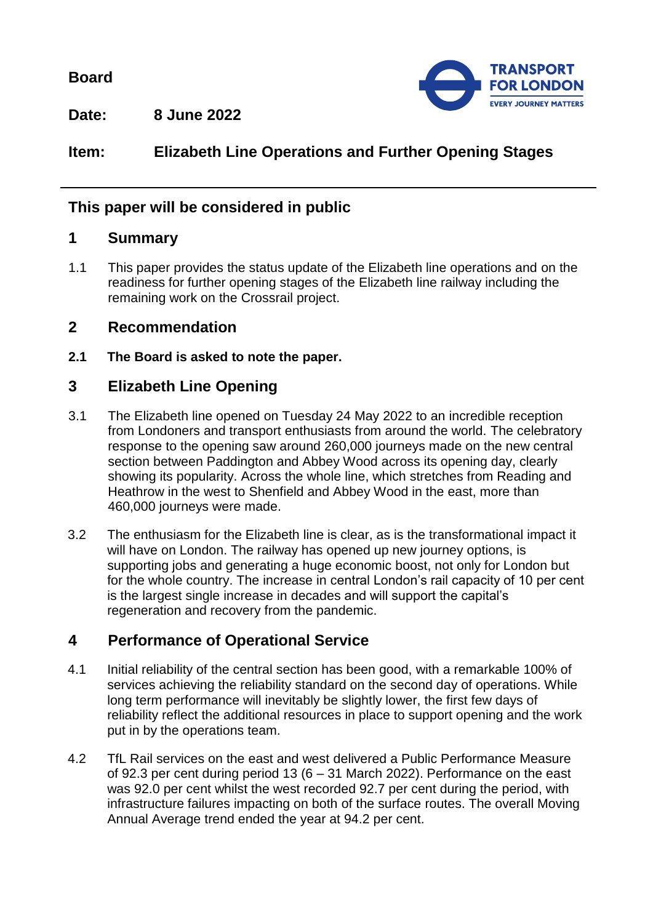**Board**



**Date: 8 June 2022**

**Item: Elizabeth Line Operations and Further Opening Stages**

## **This paper will be considered in public**

## **1 Summary**

1.1 This paper provides the status update of the Elizabeth line operations and on the readiness for further opening stages of the Elizabeth line railway including the remaining work on the Crossrail project.

## **2 Recommendation**

**2.1 The Board is asked to note the paper.**

# **3 Elizabeth Line Opening**

- 3.1 The Elizabeth line opened on Tuesday 24 May 2022 to an incredible reception from Londoners and transport enthusiasts from around the world. The celebratory response to the opening saw around 260,000 journeys made on the new central section between Paddington and Abbey Wood across its opening day, clearly showing its popularity. Across the whole line, which stretches from Reading and Heathrow in the west to Shenfield and Abbey Wood in the east, more than 460,000 journeys were made.
- 3.2 The enthusiasm for the Elizabeth line is clear, as is the transformational impact it will have on London. The railway has opened up new journey options, is supporting jobs and generating a huge economic boost, not only for London but for the whole country. The increase in central London's rail capacity of 10 per cent is the largest single increase in decades and will support the capital's regeneration and recovery from the pandemic.

# **4 Performance of Operational Service**

- 4.1 Initial reliability of the central section has been good, with a remarkable 100% of services achieving the reliability standard on the second day of operations. While long term performance will inevitably be slightly lower, the first few days of reliability reflect the additional resources in place to support opening and the work put in by the operations team.
- 4.2 TfL Rail services on the east and west delivered a Public Performance Measure of 92.3 per cent during period 13 (6 – 31 March 2022). Performance on the east was 92.0 per cent whilst the west recorded 92.7 per cent during the period, with infrastructure failures impacting on both of the surface routes. The overall Moving Annual Average trend ended the year at 94.2 per cent.